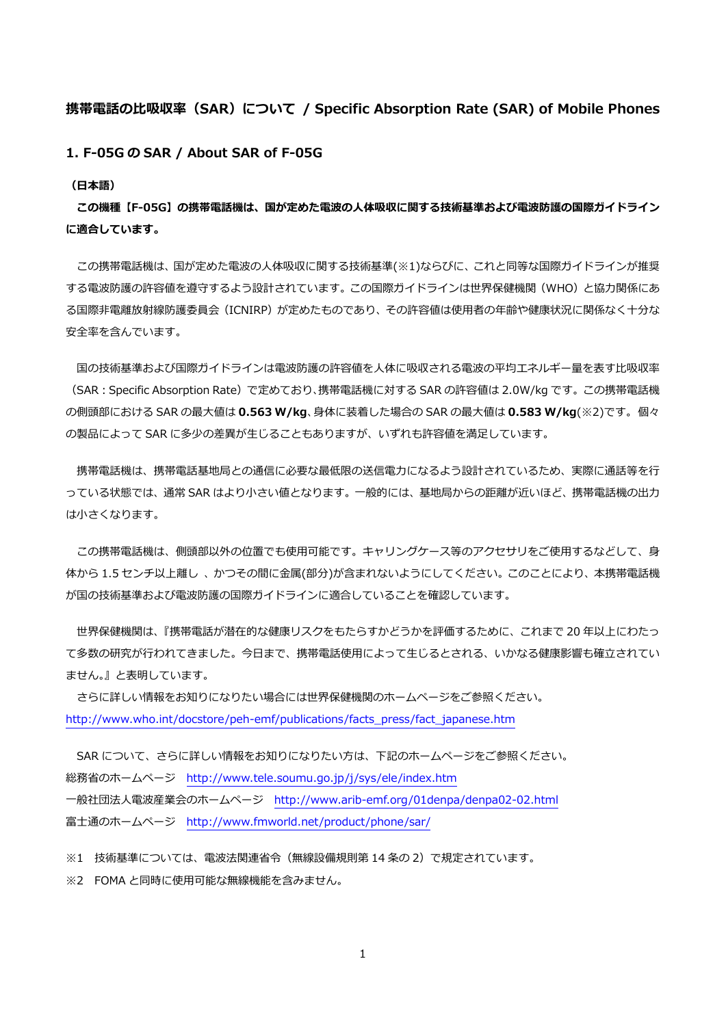## **携帯電話の⽐吸収率(SAR)について / Specific Absorption Rate (SAR) of Mobile Phones**

**1. F-05G の SAR / About SAR of F-05G** 

**(⽇本語)** 

**この機種【F-05G】の携帯電話機は、国が定めた電波の⼈体吸収に関する技術基準および電波防護の国際ガイドライン に適合しています。** 

この携帯電話機は、国が定めた電波の人体吸収に関する技術基準(※1)ならびに、これと同等な国際ガイドラインが推奨 する電波防護の許容値を遵守するよう設計されています。この国際ガイドラインは世界保健機関(WHO)と協⼒関係にあ る国際非電離放射線防護委員会(ICNIRP)が定めたものであり、その許容値は使用者の年齢や健康状況に関係なく十分な 安全率を含んでいます。

国の技術基準および国際ガイドラインは電波防護の許容値を人体に吸収される電波の平均エネルギー量を表す比吸収率 (SAR:Specific Absorption Rate)で定めており、携帯電話機に対する SAR の許容値は 2.0W/kg です。この携帯電話機 の側頭部における SAR の最⼤値は **0.563 W/kg**、⾝体に装着した場合の SAR の最⼤値は **0.583 W/kg**(※2)です。 個々 の製品によって SAR に多少の差異が生じることもありますが、いずれも許容値を満足しています。

携帯電話機は、携帯電話基地局との通信に必要な最低限の送信電力になるよう設計されているため、実際に通話等を行 っている状態では、通常 SAR はより小さい値となります。一般的には、基地局からの距離が近いほど、携帯電話機の出力 は⼩さくなります。

この携帯電話機は、側頭部以外の位置でも使用可能です。キャリングケース等のアクセサリをご使用するなどして、身 体から 1.5 センチ以上離し、かつその間に金属(部分)が含まれないようにしてください。このことにより、本携帯電話機 が国の技術基準および電波防護の国際ガイドラインに適合していることを確認しています。

 世界保健機関は、『携帯電話が潜在的な健康リスクをもたらすかどうかを評価するために、これまで 20 年以上にわたっ て多数の研究が行われてきました。今日まで、携帯電話使用によって生じるとされる、いかなる健康影響も確立されてい ません。』と表明しています。

 さらに詳しい情報をお知りになりたい場合には世界保健機関のホームページをご参照ください。 http://www.who.int/docstore/peh-emf/publications/facts\_press/fact\_japanese.htm

SAR について、さらに詳しい情報をお知りになりたい方は、下記のホームページをご参照ください。 総務省のホームページ http://www.tele.soumu.go.jp/j/sys/ele/index.htm ⼀般社団法⼈電波産業会のホームページ http://www.arib-emf.org/01denpa/denpa02-02.html 富士通のホームページ http://www.fmworld.net/product/phone/sar/

※1 技術基準については、電波法関連省令(無線設備規則第 14 条の 2)で規定されています。 ※2 FOMA と同時に使用可能な無線機能を含みません。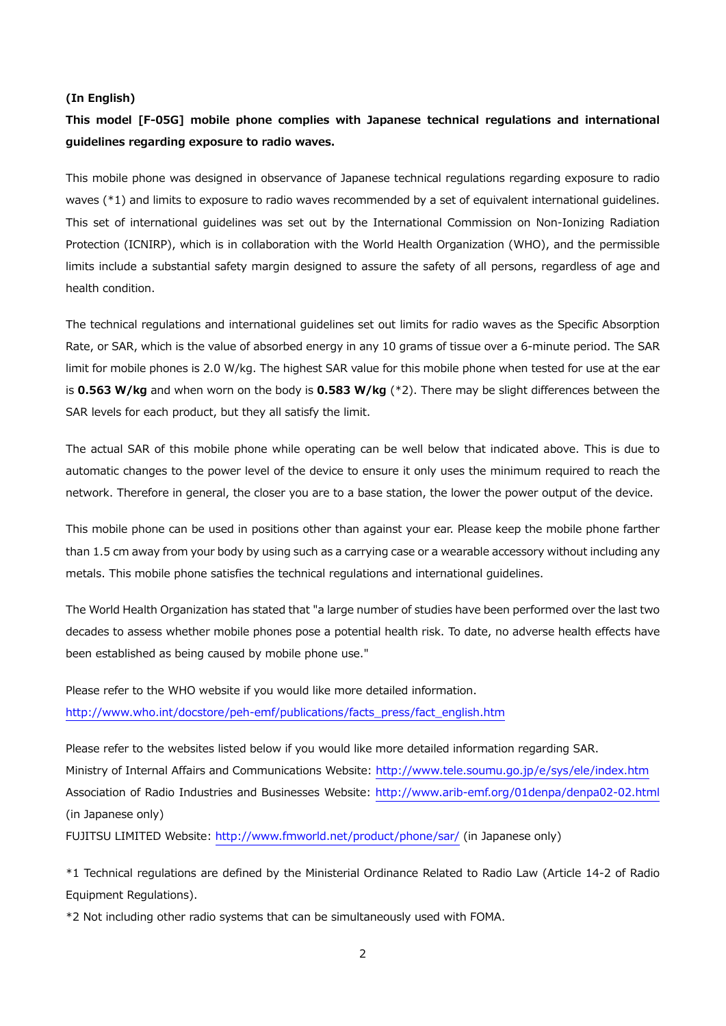#### **(In English)**

# **This model [F-05G] mobile phone complies with Japanese technical regulations and international guidelines regarding exposure to radio waves.**

This mobile phone was designed in observance of Japanese technical regulations regarding exposure to radio waves (\*1) and limits to exposure to radio waves recommended by a set of equivalent international guidelines. This set of international guidelines was set out by the International Commission on Non-Ionizing Radiation Protection (ICNIRP), which is in collaboration with the World Health Organization (WHO), and the permissible limits include a substantial safety margin designed to assure the safety of all persons, regardless of age and health condition.

The technical regulations and international guidelines set out limits for radio waves as the Specific Absorption Rate, or SAR, which is the value of absorbed energy in any 10 grams of tissue over a 6-minute period. The SAR limit for mobile phones is 2.0 W/kg. The highest SAR value for this mobile phone when tested for use at the ear is **0.563 W/kg** and when worn on the body is **0.583 W/kg** (\*2). There may be slight differences between the SAR levels for each product, but they all satisfy the limit.

The actual SAR of this mobile phone while operating can be well below that indicated above. This is due to automatic changes to the power level of the device to ensure it only uses the minimum required to reach the network. Therefore in general, the closer you are to a base station, the lower the power output of the device.

This mobile phone can be used in positions other than against your ear. Please keep the mobile phone farther than 1.5 cm away from your body by using such as a carrying case or a wearable accessory without including any metals. This mobile phone satisfies the technical regulations and international guidelines.

The World Health Organization has stated that "a large number of studies have been performed over the last two decades to assess whether mobile phones pose a potential health risk. To date, no adverse health effects have been established as being caused by mobile phone use."

Please refer to the WHO website if you would like more detailed information. http://www.who.int/docstore/peh-emf/publications/facts\_press/fact\_english.htm

Please refer to the websites listed below if you would like more detailed information regarding SAR. Ministry of Internal Affairs and Communications Website: http://www.tele.soumu.go.jp/e/sys/ele/index.htm Association of Radio Industries and Businesses Website: http://www.arib-emf.org/01denpa/denpa02-02.html (in Japanese only)

FUJITSU LIMITED Website: http://www.fmworld.net/product/phone/sar/ (in Japanese only)

\*1 Technical regulations are defined by the Ministerial Ordinance Related to Radio Law (Article 14-2 of Radio Equipment Regulations).

\*2 Not including other radio systems that can be simultaneously used with FOMA.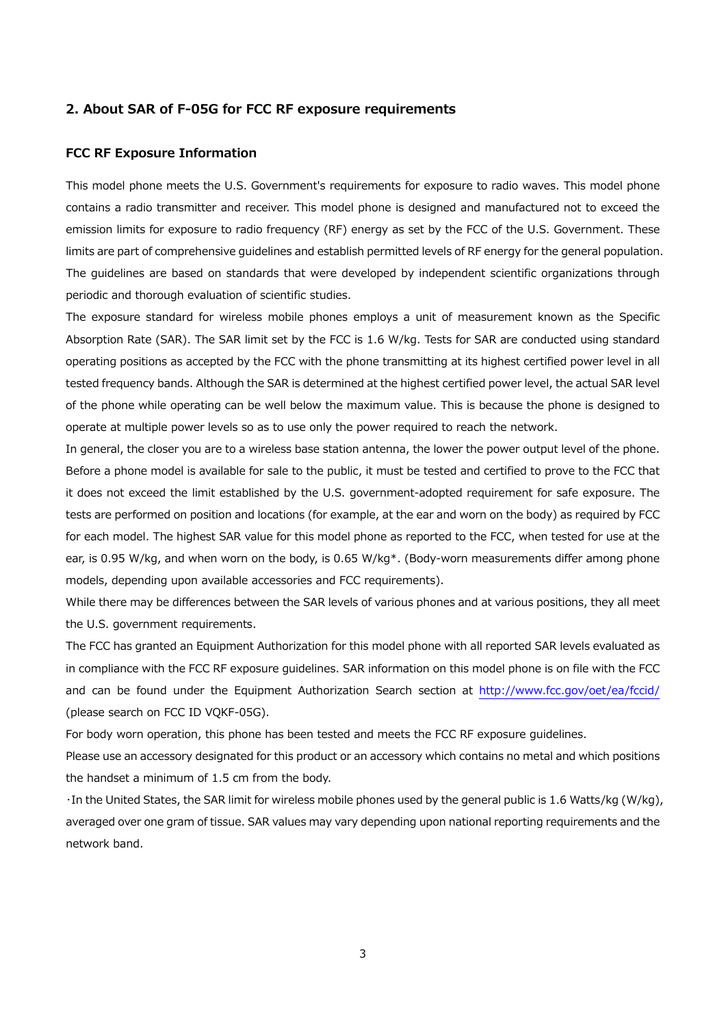#### **2. About SAR of F-05G for FCC RF exposure requirements**

#### **FCC RF Exposure Information**

This model phone meets the U.S. Government's requirements for exposure to radio waves. This model phone contains a radio transmitter and receiver. This model phone is designed and manufactured not to exceed the emission limits for exposure to radio frequency (RF) energy as set by the FCC of the U.S. Government. These limits are part of comprehensive guidelines and establish permitted levels of RF energy for the general population. The guidelines are based on standards that were developed by independent scientific organizations through periodic and thorough evaluation of scientific studies.

The exposure standard for wireless mobile phones employs a unit of measurement known as the Specific Absorption Rate (SAR). The SAR limit set by the FCC is 1.6 W/kg. Tests for SAR are conducted using standard operating positions as accepted by the FCC with the phone transmitting at its highest certified power level in all tested frequency bands. Although the SAR is determined at the highest certified power level, the actual SAR level of the phone while operating can be well below the maximum value. This is because the phone is designed to operate at multiple power levels so as to use only the power required to reach the network.

In general, the closer you are to a wireless base station antenna, the lower the power output level of the phone. Before a phone model is available for sale to the public, it must be tested and certified to prove to the FCC that it does not exceed the limit established by the U.S. government-adopted requirement for safe exposure. The tests are performed on position and locations (for example, at the ear and worn on the body) as required by FCC for each model. The highest SAR value for this model phone as reported to the FCC, when tested for use at the ear, is 0.95 W/kg, and when worn on the body, is 0.65 W/kg<sup>\*</sup>. (Body-worn measurements differ among phone models, depending upon available accessories and FCC requirements).

While there may be differences between the SAR levels of various phones and at various positions, they all meet the U.S. government requirements.

The FCC has granted an Equipment Authorization for this model phone with all reported SAR levels evaluated as in compliance with the FCC RF exposure guidelines. SAR information on this model phone is on file with the FCC and can be found under the Equipment Authorization Search section at http://www.fcc.gov/oet/ea/fccid/ (please search on FCC ID VQKF-05G).

For body worn operation, this phone has been tested and meets the FCC RF exposure guidelines.

Please use an accessory designated for this product or an accessory which contains no metal and which positions the handset a minimum of 1.5 cm from the body.

・In the United States, the SAR limit for wireless mobile phones used by the general public is 1.6 Watts/kg (W/kg), averaged over one gram of tissue. SAR values may vary depending upon national reporting requirements and the network band.

3